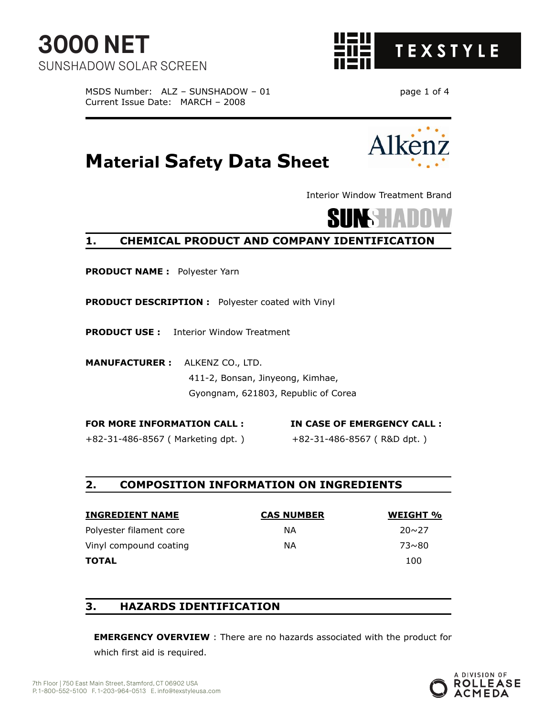

MSDS Number: ALZ - SUNSHADOW - 01 page 1 of 4 Current Issue Date: MARCH – 2008

**Material Safety Data Sheet** 



Interior Window Treatment Brand



# **1. CHEMICAL PRODUCT AND COMPANY IDENTIFICATION**

**PRODUCT NAME :** Polyester Yarn

**PRODUCT DESCRIPTION :** Polyester coated with Vinyl

**PRODUCT USE :** Interior Window Treatment

**MANUFACTURER :** ALKENZ CO., LTD. 411-2, Bonsan, Jinyeong, Kimhae, Gyongnam, 621803, Republic of Corea

**FOR MORE INFORMATION CALL : IN CASE OF EMERGENCY CALL :**  +82-31-486-8567 ( Marketing dpt. ) +82-31-486-8567 ( R&D dpt. )

#### **2. COMPOSITION INFORMATION ON INGREDIENTS**

| <b>INGREDIENT NAME</b>  | <b>CAS NUMBER</b> | WEIGHT %     |
|-------------------------|-------------------|--------------|
| Polyester filament core | ΝA                | $20 \sim 27$ |
| Vinyl compound coating  | ΝA                | $73 \sim 80$ |
| <b>TOTAL</b>            |                   | 100          |

#### **3. HAZARDS IDENTIFICATION**

**EMERGENCY OVERVIEW** : There are no hazards associated with the product for which first aid is required.

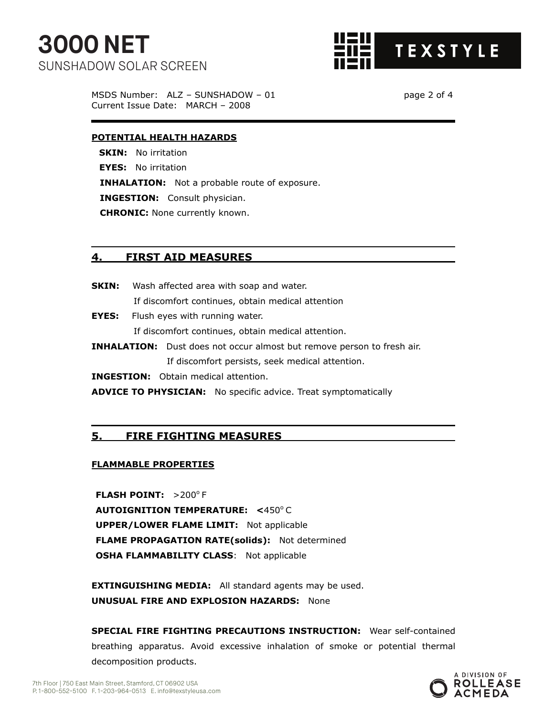

MSDS Number: ALZ – SUNSHADOW – 01 page 2 of 4 Current Issue Date: MARCH – 2008

#### **POTENTIAL HEALTH HAZARDS**

**SKIN:** No irritation **EYES:** No irritation **INHALATION:** Not a probable route of exposure. **INGESTION:** Consult physician. **CHRONIC:** None currently known.

#### **4. FIRST AID MEASURES**

- **SKIN:** Wash affected area with soap and water. If discomfort continues, obtain medical attention
- **EYES:** Flush eyes with running water. If discomfort continues, obtain medical attention.
- **INHALATION:** Dust does not occur almost but remove person to fresh air. If discomfort persists, seek medical attention.

**INGESTION:** Obtain medical attention.

**ADVICE TO PHYSICIAN:** No specific advice. Treat symptomatically

#### **5. FIRE FIGHTING MEASURES**

#### **FLAMMABLE PROPERTIES**

**FLASH POINT: >200°F AUTOIGNITION TEMPERATURE: <450°C UPPER/LOWER FLAME LIMIT:** Not applicable **FLAME PROPAGATION RATE(solids):** Not determined **OSHA FLAMMABILITY CLASS: Not applicable** 

**EXTINGUISHING MEDIA:** All standard agents may be used. **UNUSUAL FIRE AND EXPLOSION HAZARDS:** None

**SPECIAL FIRE FIGHTING PRECAUTIONS INSTRUCTION:** Wear self-contained breathing apparatus. Avoid excessive inhalation of smoke or potential thermal decomposition products.

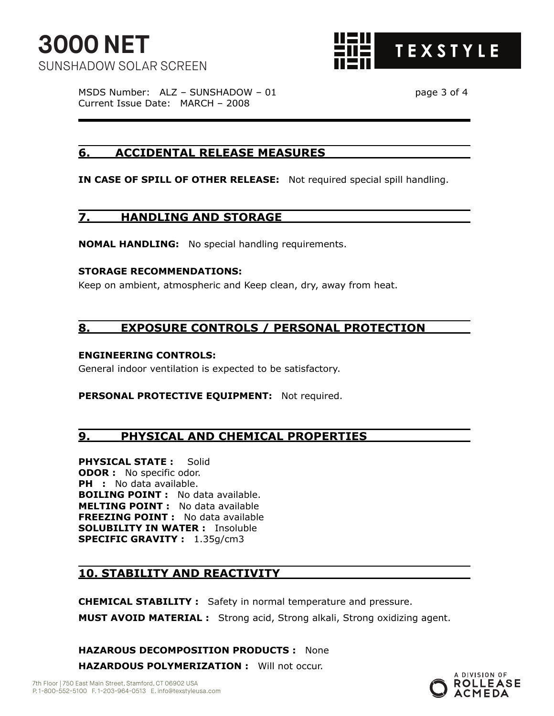

MSDS Number: ALZ – SUNSHADOW – 01 page 3 of 4 Current Issue Date: MARCH – 2008

## **6. ACCIDENTAL RELEASE MEASURES**

**IN CASE OF SPILL OF OTHER RELEASE:** Not required special spill handling.

## **7. HANDLING AND STORAGE**

**NOMAL HANDLING:** No special handling requirements.

#### **STORAGE RECOMMENDATIONS:**

Keep on ambient, atmospheric and Keep clean, dry, away from heat.

## **8. EXPOSURE CONTROLS / PERSONAL PROTECTION**

#### **ENGINEERING CONTROLS:**

General indoor ventilation is expected to be satisfactory.

**PERSONAL PROTECTIVE EQUIPMENT:** Not required.

# **9. PHYSICAL AND CHEMICAL PROPERTIES**

**PHYSICAL STATE :** Solid **ODOR :** No specific odor. **PH** : No data available. **BOILING POINT :** No data available. **MELTING POINT :** No data available **FREEZING POINT :** No data available **SOLUBILITY IN WATER :** Insoluble **SPECIFIC GRAVITY :** 1.35g/cm3

# **10. STABILITY AND REACTIVITY**

**CHEMICAL STABILITY :** Safety in normal temperature and pressure. **MUST AVOID MATERIAL :** Strong acid, Strong alkali, Strong oxidizing agent.

**HAZAROUS DECOMPOSITION PRODUCTS :** None **HAZARDOUS POLYMERIZATION :** Will not occur.